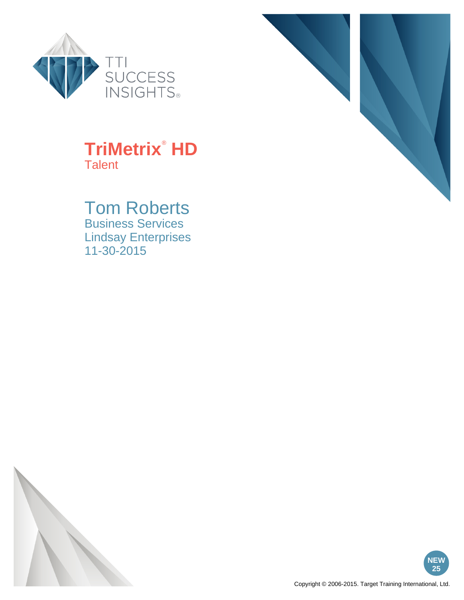



#### Tom Roberts Business Services

Lindsay Enterprises 11-30-2015





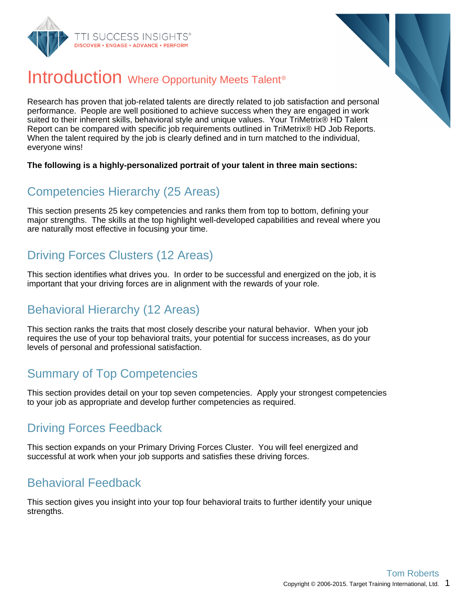



#### Introduction Where Opportunity Meets Talent<sup>®</sup>

Research has proven that job-related talents are directly related to job satisfaction and personal performance. People are well positioned to achieve success when they are engaged in work suited to their inherent skills, behavioral style and unique values. Your TriMetrix® HD Talent Report can be compared with specific job requirements outlined in TriMetrix® HD Job Reports. When the talent required by the job is clearly defined and in turn matched to the individual, everyone wins!

#### **The following is a highly-personalized portrait of your talent in three main sections:**

#### Competencies Hierarchy (25 Areas)

This section presents 25 key competencies and ranks them from top to bottom, defining your major strengths. The skills at the top highlight well-developed capabilities and reveal where you are naturally most effective in focusing your time.

#### Driving Forces Clusters (12 Areas)

This section identifies what drives you. In order to be successful and energized on the job, it is important that your driving forces are in alignment with the rewards of your role.

#### Behavioral Hierarchy (12 Areas)

This section ranks the traits that most closely describe your natural behavior. When your job requires the use of your top behavioral traits, your potential for success increases, as do your levels of personal and professional satisfaction.

#### Summary of Top Competencies

This section provides detail on your top seven competencies. Apply your strongest competencies to your job as appropriate and develop further competencies as required.

#### Driving Forces Feedback

This section expands on your Primary Driving Forces Cluster. You will feel energized and successful at work when your job supports and satisfies these driving forces.

#### Behavioral Feedback

This section gives you insight into your top four behavioral traits to further identify your unique strengths.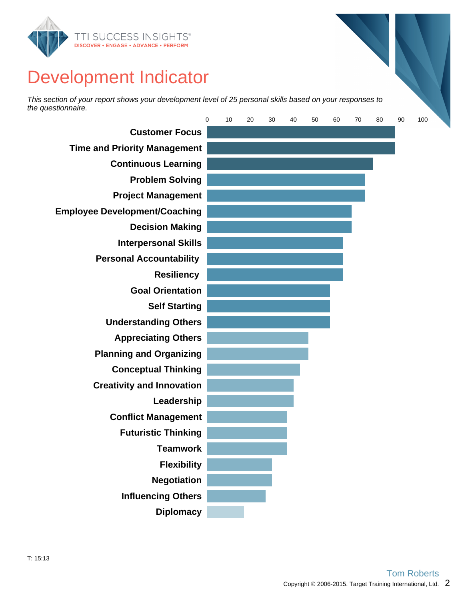

### Development Indicator

This section of your report shows your development level of 25 personal skills based on your responses to the questionnaire.

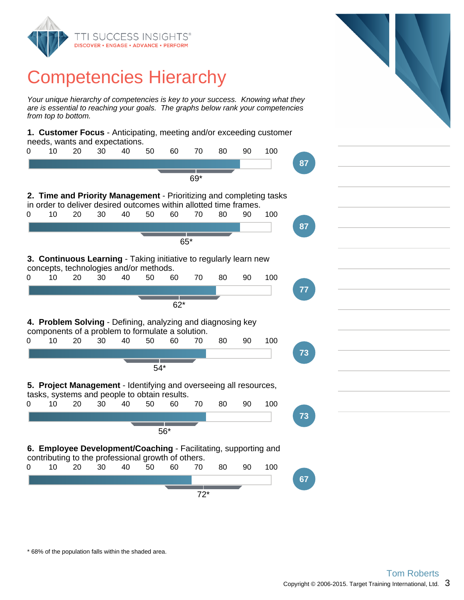

### Competencies Hierarchy

Your unique hierarchy of competencies is key to your success. Knowing what they are is essential to reaching your goals. The graphs below rank your competencies from top to bottom.

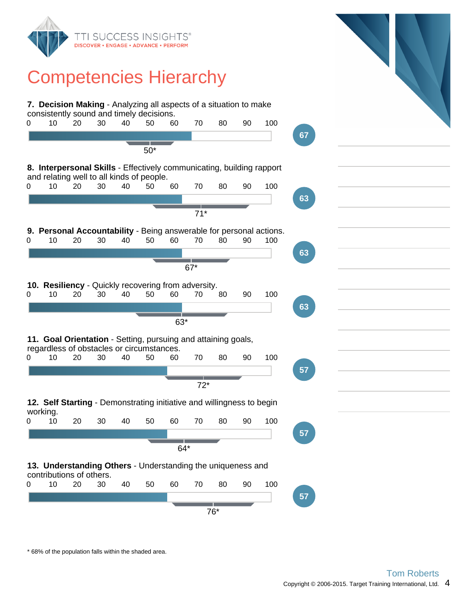

### Competencies Hierarchy

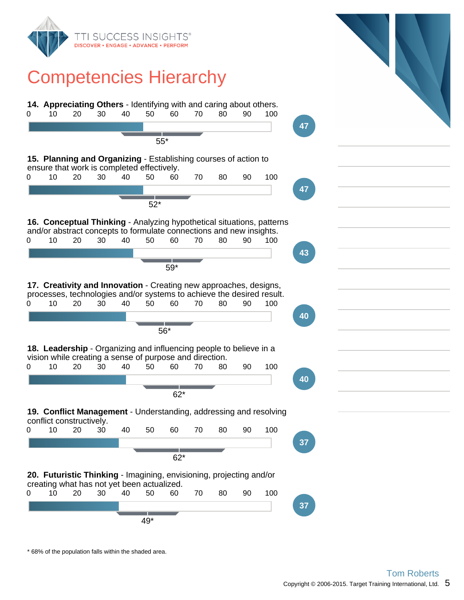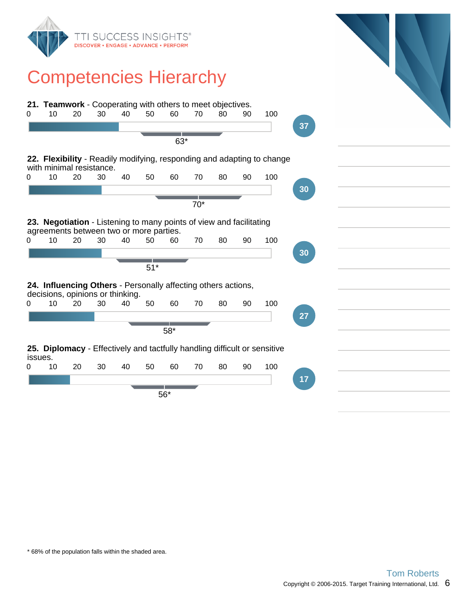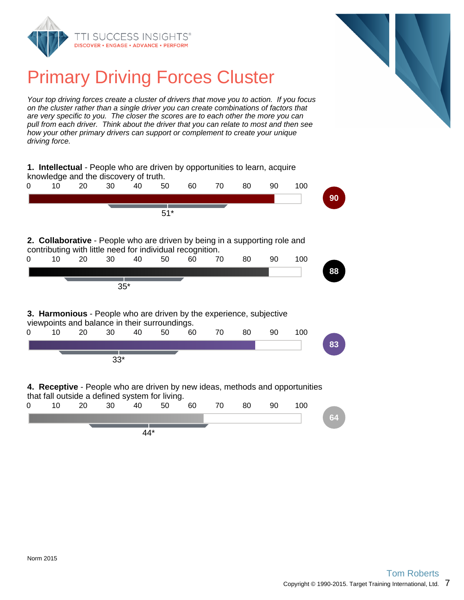



# Primary Driving Forces Cluster

Your top driving forces create a cluster of drivers that move you to action. If you focus on the cluster rather than a single driver you can create combinations of factors that are very specific to you. The closer the scores are to each other the more you can pull from each driver. Think about the driver that you can relate to most and then see how your other primary drivers can support or complement to create your unique driving force.

|                                                                                                                                                | 1. Intellectual - People who are driven by opportunities to learn, acquire<br>knowledge and the discovery of truth.            |    |       |       |       |    |    |    |    |     |    |
|------------------------------------------------------------------------------------------------------------------------------------------------|--------------------------------------------------------------------------------------------------------------------------------|----|-------|-------|-------|----|----|----|----|-----|----|
| 0                                                                                                                                              | 10                                                                                                                             | 20 | 30    | 40    | 50    | 60 | 70 | 80 | 90 | 100 |    |
|                                                                                                                                                |                                                                                                                                |    |       |       |       |    |    |    |    |     | 90 |
|                                                                                                                                                |                                                                                                                                |    |       |       | $51*$ |    |    |    |    |     |    |
| <b>2. Collaborative</b> - People who are driven by being in a supporting role and<br>contributing with little need for individual recognition. |                                                                                                                                |    |       |       |       |    |    |    |    |     |    |
| 0                                                                                                                                              | 10                                                                                                                             | 20 | 30    | 40    | 50    | 60 | 70 | 80 | 90 | 100 |    |
|                                                                                                                                                |                                                                                                                                |    |       |       |       |    |    |    |    |     | 88 |
|                                                                                                                                                |                                                                                                                                |    | $35*$ |       |       |    |    |    |    |     |    |
| 3. Harmonious - People who are driven by the experience, subjective<br>viewpoints and balance in their surroundings.                           |                                                                                                                                |    |       |       |       |    |    |    |    |     |    |
| 0                                                                                                                                              | 10                                                                                                                             | 20 | 30    | 40    | 50    | 60 | 70 | 80 | 90 | 100 |    |
|                                                                                                                                                |                                                                                                                                |    |       |       |       |    |    |    |    |     | 83 |
|                                                                                                                                                |                                                                                                                                |    | $33*$ |       |       |    |    |    |    |     |    |
|                                                                                                                                                | 4. Receptive - People who are driven by new ideas, methods and opportunities<br>that fall outside a defined system for living. |    |       |       |       |    |    |    |    |     |    |
| 0                                                                                                                                              | 10                                                                                                                             | 20 | 30    | 40    | 50    | 60 | 70 | 80 | 90 | 100 |    |
|                                                                                                                                                |                                                                                                                                |    |       |       |       |    |    |    |    |     | 64 |
|                                                                                                                                                |                                                                                                                                |    |       | $44*$ |       |    |    |    |    |     |    |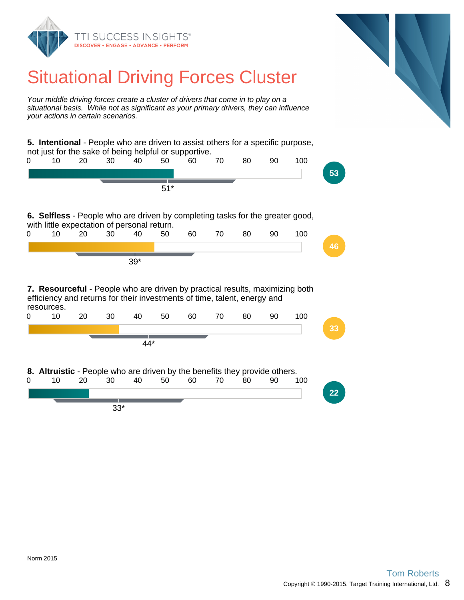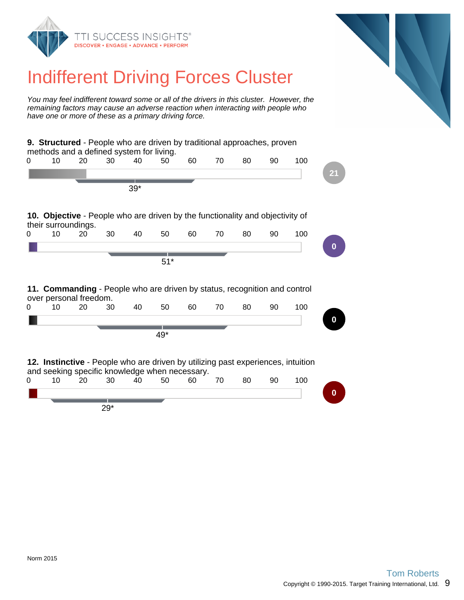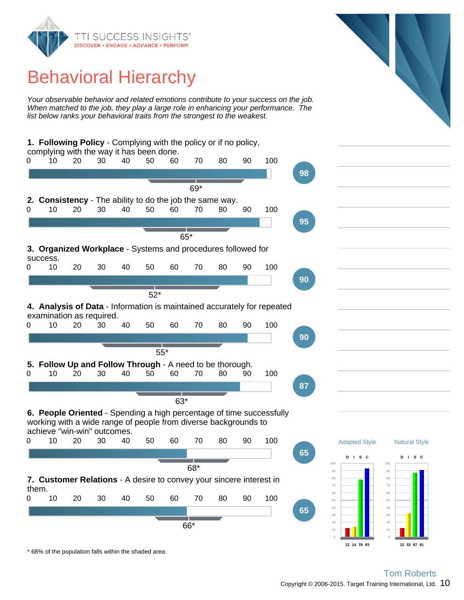

# Behavioral Hierarchy

Your observable behavior and related emotions contribute to your success on the job. When matched to the job, they play a large role in enhancing your performance. The list below ranks your behavioral traits from the strongest to the weakest.

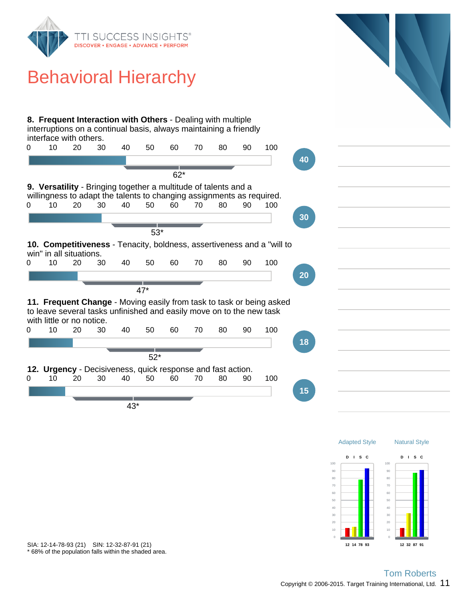

\* 68% of the population falls within the shaded area. SIA: 12-14-78-93 (21) SIN: 12-32-87-91 (21)

**12 14 78 93**

**12 32 87 91**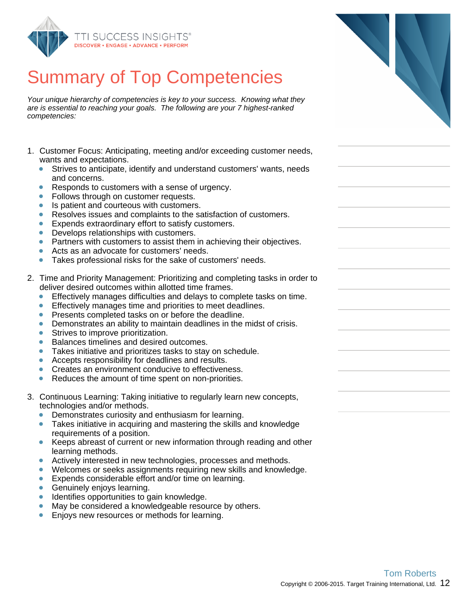

# Summary of Top Competencies

Your unique hierarchy of competencies is key to your success. Knowing what they are is essential to reaching your goals. The following are your 7 highest-ranked competencies:

- 1. Customer Focus: Anticipating, meeting and/or exceeding customer needs, wants and expectations.
	- Strives to anticipate, identify and understand customers' wants, needs  $\bullet$ and concerns.
	- Responds to customers with a sense of urgency.
	- Follows through on customer requests.
	- Is patient and courteous with customers.  $\bullet$
	- Resolves issues and complaints to the satisfaction of customers.  $\bullet$
	- $\bullet$ Expends extraordinary effort to satisfy customers.
	- Develops relationships with customers.  $\bullet$
	- Partners with customers to assist them in achieving their objectives.  $\bullet$
	- Acts as an advocate for customers' needs.  $\bullet$
	- $\bullet$ Takes professional risks for the sake of customers' needs.
- 2. Time and Priority Management: Prioritizing and completing tasks in order to deliver desired outcomes within allotted time frames.
	- Effectively manages difficulties and delays to complete tasks on time.  $\bullet$
	- $\bullet$ Effectively manages time and priorities to meet deadlines.
	- Presents completed tasks on or before the deadline.  $\bullet$
	- Demonstrates an ability to maintain deadlines in the midst of crisis.  $\bullet$
	- $\bullet$ Strives to improve prioritization.
	- Balances timelines and desired outcomes.
	- Takes initiative and prioritizes tasks to stay on schedule.  $\bullet$
	- Accepts responsibility for deadlines and results.  $\bullet$
	- $\bullet$ Creates an environment conducive to effectiveness.
	- Reduces the amount of time spent on non-priorities.
- 3. Continuous Learning: Taking initiative to regularly learn new concepts, technologies and/or methods.
	- Demonstrates curiosity and enthusiasm for learning.
	- Takes initiative in acquiring and mastering the skills and knowledge requirements of a position.
	- Keeps abreast of current or new information through reading and other learning methods.
	- Actively interested in new technologies, processes and methods.  $\bullet$
	- $\bullet$ Welcomes or seeks assignments requiring new skills and knowledge.
	- Expends considerable effort and/or time on learning.  $\bullet$
	- Genuinely enjoys learning.  $\bullet$
	- Identifies opportunities to gain knowledge.  $\bullet$
	- May be considered a knowledgeable resource by others.
	- Enjoys new resources or methods for learning.  $\bullet$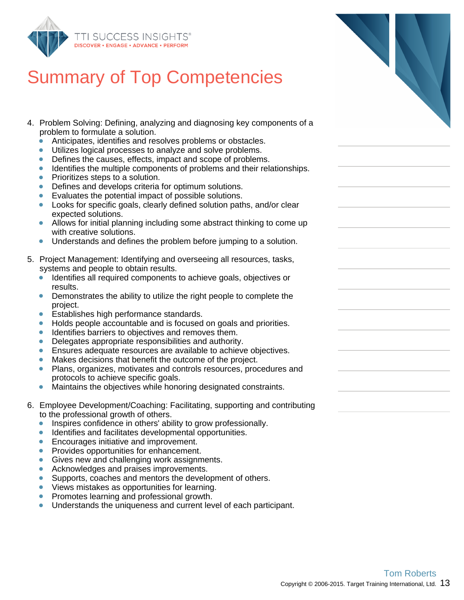

# Summary of Top Competencies

- 4. Problem Solving: Defining, analyzing and diagnosing key components of a problem to formulate a solution.
	- $\bullet$ Anticipates, identifies and resolves problems or obstacles.
	- Utilizes logical processes to analyze and solve problems.
	- Defines the causes, effects, impact and scope of problems.  $\bullet$
	- Identifies the multiple components of problems and their relationships.  $\bullet$
	- Prioritizes steps to a solution.  $\bullet$
	- Defines and develops criteria for optimum solutions.
	- Evaluates the potential impact of possible solutions.
	- Looks for specific goals, clearly defined solution paths, and/or clear expected solutions.
	- $\bullet$ Allows for initial planning including some abstract thinking to come up with creative solutions.
	- Understands and defines the problem before jumping to a solution.  $\bullet$
- 5. Project Management: Identifying and overseeing all resources, tasks, systems and people to obtain results.
	- Identifies all required components to achieve goals, objectives or results.
	- $\bullet$ Demonstrates the ability to utilize the right people to complete the project.
	- Establishes high performance standards.
	- Holds people accountable and is focused on goals and priorities.  $\bullet$
	- ŏ Identifies barriers to objectives and removes them.
	- Delegates appropriate responsibilities and authority.  $\bullet$
	- Ensures adequate resources are available to achieve objectives.  $\bullet$
	- Makes decisions that benefit the outcome of the project.
	- Plans, organizes, motivates and controls resources, procedures and  $\bullet$ protocols to achieve specific goals.
	- $\bullet$ Maintains the objectives while honoring designated constraints.
- 6. Employee Development/Coaching: Facilitating, supporting and contributing to the professional growth of others.
	- Inspires confidence in others' ability to grow professionally.  $\bullet$
	- ò Identifies and facilitates developmental opportunities.
	- Encourages initiative and improvement.  $\bullet$
	- Provides opportunities for enhancement.  $\bullet$
	- Gives new and challenging work assignments.  $\bullet$
	- $\bullet$ Acknowledges and praises improvements.
	- Supports, coaches and mentors the development of others.
	- Views mistakes as opportunities for learning.  $\bullet$
	- Promotes learning and professional growth.
	- Understands the uniqueness and current level of each participant.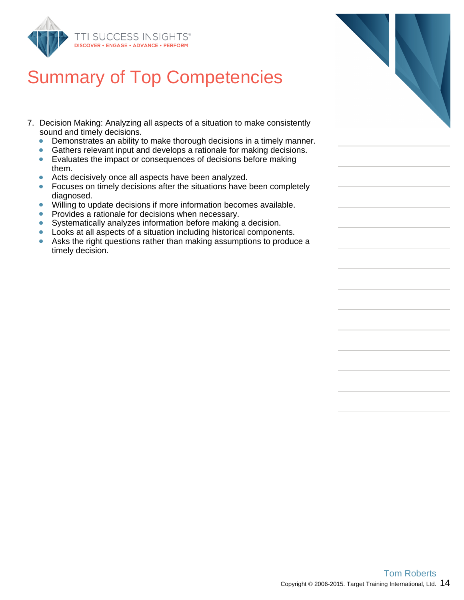

# Summary of Top Competencies

- 7. Decision Making: Analyzing all aspects of a situation to make consistently sound and timely decisions.
	- $\bullet$ Demonstrates an ability to make thorough decisions in a timely manner.
	- Gathers relevant input and develops a rationale for making decisions.
	- Evaluates the impact or consequences of decisions before making them.
	- Acts decisively once all aspects have been analyzed.  $\bullet$
	- $\bullet$ Focuses on timely decisions after the situations have been completely diagnosed.
	- $\bullet$ Willing to update decisions if more information becomes available.
	- Provides a rationale for decisions when necessary.  $\bullet$
	- Systematically analyzes information before making a decision.  $\bullet$
	- Looks at all aspects of a situation including historical components.
	- $\bullet$ Asks the right questions rather than making assumptions to produce a timely decision.

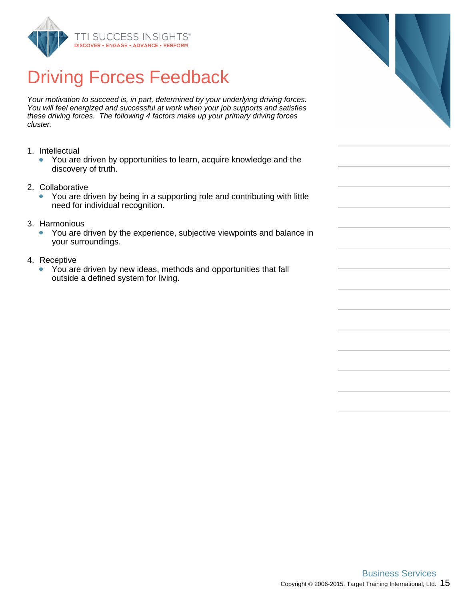

# Driving Forces Feedback

Your motivation to succeed is, in part, determined by your underlying driving forces. You will feel energized and successful at work when your job supports and satisfies these driving forces. The following 4 factors make up your primary driving forces cluster.

- 1. Intellectual
	- You are driven by opportunities to learn, acquire knowledge and the discovery of truth.
- 2. Collaborative
	- You are driven by being in a supporting role and contributing with little need for individual recognition.
- 3. Harmonious
	- You are driven by the experience, subjective viewpoints and balance in  $\bullet$ your surroundings.
- 4. Receptive
	- You are driven by new ideas, methods and opportunities that fall  $\bullet$ outside a defined system for living.

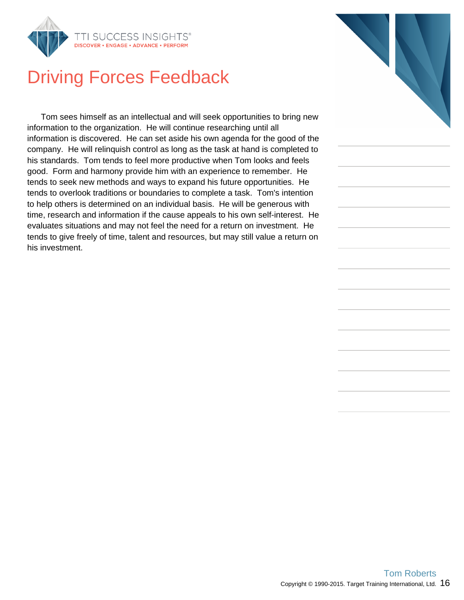

# Driving Forces Feedback

Tom sees himself as an intellectual and will seek opportunities to bring new information to the organization. He will continue researching until all information is discovered. He can set aside his own agenda for the good of the company. He will relinquish control as long as the task at hand is completed to his standards. Tom tends to feel more productive when Tom looks and feels good. Form and harmony provide him with an experience to remember. He tends to seek new methods and ways to expand his future opportunities. He tends to overlook traditions or boundaries to complete a task. Tom's intention to help others is determined on an individual basis. He will be generous with time, research and information if the cause appeals to his own self-interest. He evaluates situations and may not feel the need for a return on investment. He tends to give freely of time, talent and resources, but may still value a return on his investment.

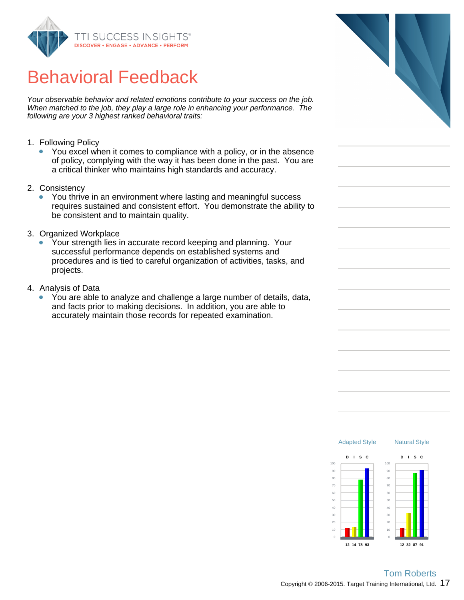

# Behavioral Feedback

Your observable behavior and related emotions contribute to your success on the job. When matched to the job, they play a large role in enhancing your performance. The following are your 3 highest ranked behavioral traits:

- 1. Following Policy
	- You excel when it comes to compliance with a policy, or in the absence of policy, complying with the way it has been done in the past. You are a critical thinker who maintains high standards and accuracy.
- 2. Consistency
	- You thrive in an environment where lasting and meaningful success  $\bullet$ requires sustained and consistent effort. You demonstrate the ability to be consistent and to maintain quality.
- 3. Organized Workplace
	- Your strength lies in accurate record keeping and planning. Your successful performance depends on established systems and procedures and is tied to careful organization of activities, tasks, and projects.
- 4. Analysis of Data
	- You are able to analyze and challenge a large number of details, data, and facts prior to making decisions. In addition, you are able to accurately maintain those records for repeated examination.



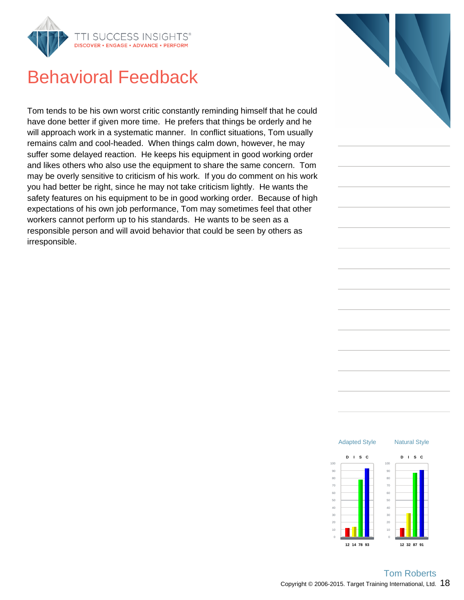

### Behavioral Feedback

Tom tends to be his own worst critic constantly reminding himself that he could have done better if given more time. He prefers that things be orderly and he will approach work in a systematic manner. In conflict situations, Tom usually remains calm and cool-headed. When things calm down, however, he may suffer some delayed reaction. He keeps his equipment in good working order and likes others who also use the equipment to share the same concern. Tom may be overly sensitive to criticism of his work. If you do comment on his work you had better be right, since he may not take criticism lightly. He wants the safety features on his equipment to be in good working order. Because of high expectations of his own job performance, Tom may sometimes feel that other workers cannot perform up to his standards. He wants to be seen as a responsible person and will avoid behavior that could be seen by others as irresponsible.